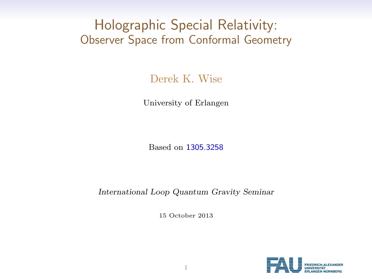# Holographic Special Relativity: Observer Space from Conformal Geometry

Derek K. Wise

University of Erlangen

Based on [1305.3258](http://arxiv.org/abs/1305.3258/)

International Loop Quantum Gravity Seminar

15 October 2013

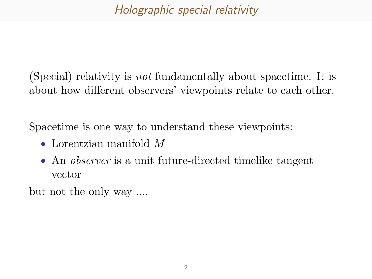## Holographic special relativity

(Special) relativity is not fundamentally about spacetime. It is about how different observers' viewpoints relate to each other.

Spacetime is one way to understand these viewpoints:

- Lorentzian manifold M
- An *observer* is a unit future-directed timelike tangent vector

but not the only way ....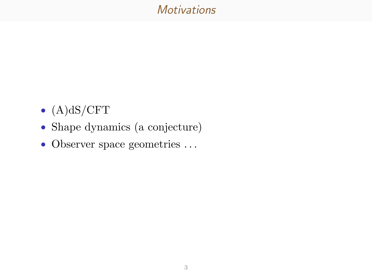### **Motivations**

- $(A)dS/CFT$
- Shape dynamics (a conjecture)
- Observer space geometries . . .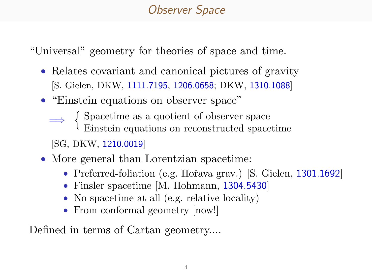# Observer Space

"Universal" geometry for theories of space and time.

- Relates covariant and canonical pictures of gravity [S. Gielen, DKW, [1111.7195](http://arxiv.org/abs/1111.7195/), [1206.0658](http://arxiv.org/abs/1206.0658/); DKW, [1310.1088](http://arxiv.org/abs/1310.1088/)]
- "Einstein equations on observer space"
	- ⇒ Spacetime as a quotient of observer space Einstein equations on reconstructed spacetime

[SG, DKW, [1210.0019](http://arxiv.org/abs/1210.0019/)]

- More general than Lorentzian spacetime:
	- Preferred-foliation (e.g. Hořava grav.) [S. Gielen, [1301.1692](http://arxiv.org/abs/1301.1692/)]
	- Finsler spacetime [M. Hohmann, [1304.5430](http://arxiv.org/abs/1304.5430/)]
	- No spacetime at all (e.g. relative locality)
	- From conformal geometry [now!]

Defined in terms of Cartan geometry....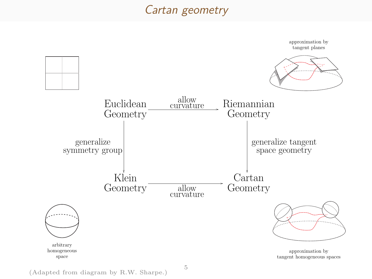### Cartan geometry



(Adapted from diagram by R.W. Sharpe.)

5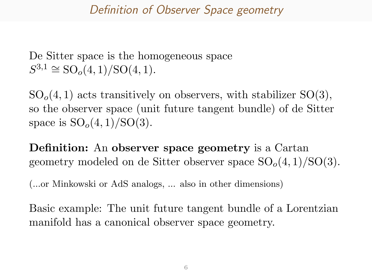### Definition of Observer Space geometry

De Sitter space is the homogeneous space  $S^{3,1} \cong SO_o(4,1)/SO(4,1).$ 

 $SO<sub>o</sub>(4, 1)$  acts transitively on observers, with stabilizer  $SO(3)$ , so the observer space (unit future tangent bundle) of de Sitter space is  $SO<sub>o</sub>(4, 1)/SO(3)$ .

Definition: An observer space geometry is a Cartan geometry modeled on de Sitter observer space  $SO<sub>o</sub>(4, 1)/SO(3)$ .

(...or Minkowski or AdS analogs, ... also in other dimensions)

Basic example: The unit future tangent bundle of a Lorentzian manifold has a canonical observer space geometry.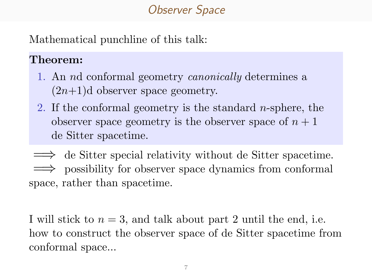## Observer Space

Mathematical punchline of this talk:

### Theorem:

- 1. An nd conformal geometry canonically determines a  $(2n+1)d$  observer space geometry.
- 2. If the conformal geometry is the standard *n*-sphere, the observer space geometry is the observer space of  $n + 1$ de Sitter spacetime.

⇒ de Sitter special relativity without de Sitter spacetime. =⇒ possibility for observer space dynamics from conformal space, rather than spacetime.

I will stick to  $n = 3$ , and talk about part 2 until the end, i.e. how to construct the observer space of de Sitter spacetime from conformal space...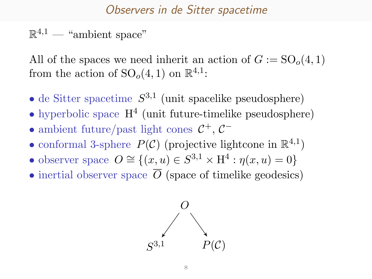#### Observers in de Sitter spacetime

### $\mathbb{R}^{4,1}$  — "ambient space"

All of the spaces we need inherit an action of  $G := SO<sub>o</sub>(4, 1)$ from the action of  $SO<sub>o</sub>(4, 1)$  on  $\mathbb{R}^{4,1}$ :

- de Sitter spacetime  $S^{3,1}$  (unit spacelike pseudosphere)
- hyperbolic space  $H<sup>4</sup>$  (unit future-timelike pseudosphere)
- ambient future/past light cones  $C^+$ ,  $C^-$
- conformal 3-sphere  $P(\mathcal{C})$  (projective lightcone in  $\mathbb{R}^{4,1}$ )
- observer space  $O \cong \{(x, u) \in S^{3,1} \times H^4 : \eta(x, u) = 0\}$
- inertial observer space  $\overline{O}$  (space of timelike geodesics)

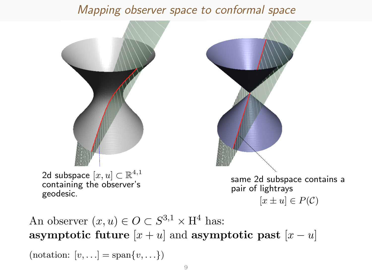### Mapping observer space to conformal space



An observer  $(x, u) \in O \subset S^{3,1} \times H^4$  has: asymptotic future  $[x + u]$  and asymptotic past  $[x - u]$ (notation:  $[v, \ldots] = \text{span}\{v, \ldots\}$ )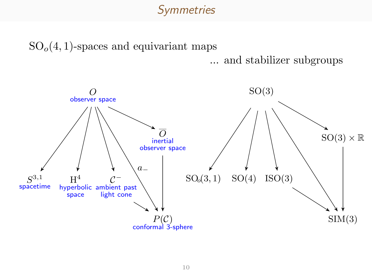### **Symmetries**

 $SO<sub>o</sub>(4, 1)$ -spaces and equivariant maps

... and stabilizer subgroups

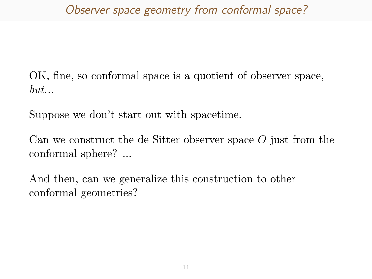## Observer space geometry from conformal space?

OK, fine, so conformal space is a quotient of observer space,  $but...$ 

Suppose we don't start out with spacetime.

Can we construct the de Sitter observer space O just from the conformal sphere? ...

And then, can we generalize this construction to other conformal geometries?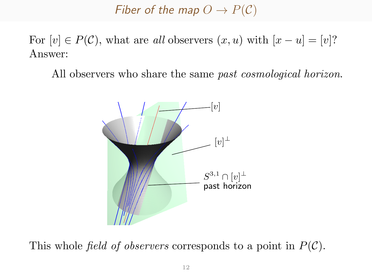Fiber of the map  $O \to P(C)$ 

For  $[v] \in P(\mathcal{C})$ , what are all observers  $(x, u)$  with  $[x - u] = [v]$ ? Answer:

All observers who share the same *past cosmological horizon*.



This whole *field of observers* corresponds to a point in  $P(\mathcal{C})$ .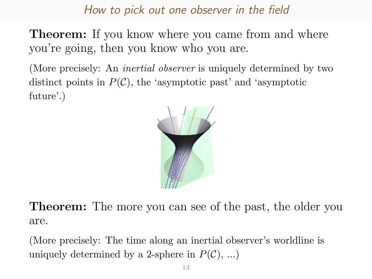### How to pick out one observer in the field

**Theorem:** If you know where you came from and where you're going, then you know who you are.

(More precisely: An *inertial observer* is uniquely determined by two distinct points in  $P(\mathcal{C})$ , the 'asymptotic past' and 'asymptotic future'.)



**Theorem:** The more you can see of the past, the older you are.

(More precisely: The time along an inertial observer's worldline is uniquely determined by a 2-sphere in  $P(\mathcal{C}), \ldots$ )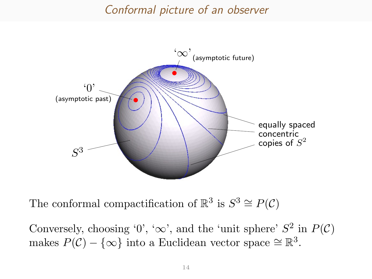#### Conformal picture of an observer



The conformal compactification of  $\mathbb{R}^3$  is  $S^3 \cong P(\mathcal{C})$ 

Conversely, choosing '0', ' $\infty$ ', and the 'unit sphere'  $S^2$  in  $P(\mathcal{C})$ makes  $P(\mathcal{C}) - \{\infty\}$  into a Euclidean vector space  $\cong \mathbb{R}^3$ .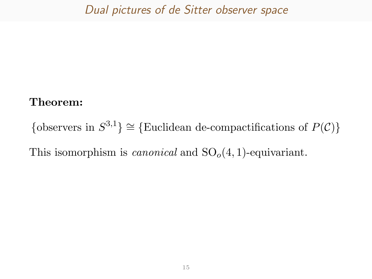### Dual pictures of de Sitter observer space

#### Theorem:

{observers in  $S^{3,1}$ }  $\cong$  {Euclidean de-compactifications of  $P(\mathcal{C})$ }

This isomorphism is *canonical* and  $SO<sub>o</sub>(4, 1)$ -equivariant.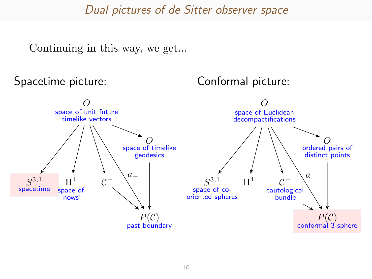#### Dual pictures of de Sitter observer space

Continuing in this way, we get...

Spacetime picture:

Conformal picture:

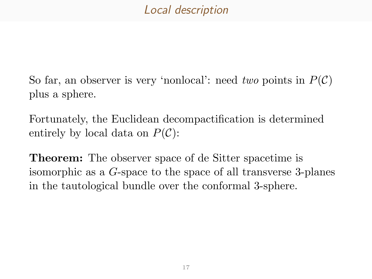### Local description

So far, an observer is very 'nonlocal': need two points in  $P(\mathcal{C})$ plus a sphere.

Fortunately, the Euclidean decompactification is determined entirely by local data on  $P(\mathcal{C})$ :

Theorem: The observer space of de Sitter spacetime is isomorphic as a G-space to the space of all transverse 3-planes in the tautological bundle over the conformal 3-sphere.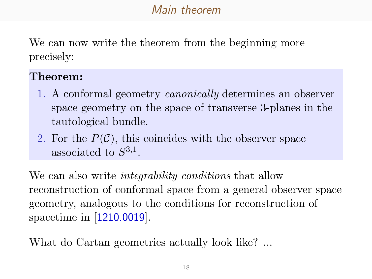## Main theorem

We can now write the theorem from the beginning more precisely:

#### Theorem:

- 1. A conformal geometry canonically determines an observer space geometry on the space of transverse 3-planes in the tautological bundle.
- 2. For the  $P(\mathcal{C})$ , this coincides with the observer space associated to  $S^{3,1}$ .

We can also write *integrability conditions* that allow reconstruction of conformal space from a general observer space geometry, analogous to the conditions for reconstruction of spacetime in [[1210.0019](http://arxiv.org/abs/1210.0019/)].

What do Cartan geometries actually look like? ...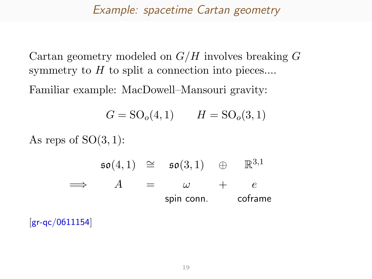#### Example: spacetime Cartan geometry

Cartan geometry modeled on  $G/H$  involves breaking  $G$ symmetry to  $H$  to split a connection into pieces....

Familiar example: MacDowell–Mansouri gravity:

$$
G = SO_o(4, 1)
$$
  $H = SO_o(3, 1)$ 

As reps of  $SO(3,1)$ :

$$
\Rightarrow \begin{array}{rcl}\n\mathfrak{so}(4,1) & \cong & \mathfrak{so}(3,1) & \oplus & \mathbb{R}^{3,1} \\
\implies & A & = & \omega + e \\
\text{spin conn.} & \text{coframe}\n\end{array}
$$

[[gr-qc/0611154](http://arxiv.org/abs/gr-qc/0611154/)]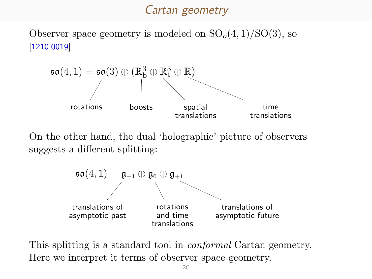#### Cartan geometry

[Observer s](http://arxiv.org/abs/1210.0019/)pace geometry is modeled on  $SO<sub>o</sub>(4,1)/SO(3)$ , so [1210.0019]



On the other hand, the dual 'holographic' picture of observers suggests a different splitting:



This splitting is a standard tool in *conformal* Cartan geometry. Here we interpret it terms of observer space geometry.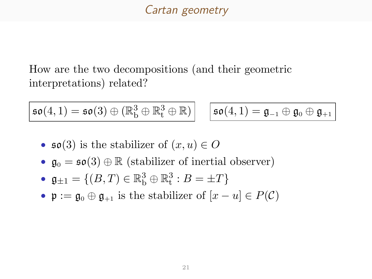### Cartan geometry

How are the two decompositions (and their geometric interpretations) related?

$$
\mathfrak{so}(4,1)=\mathfrak{so}(3)\oplus (\mathbb{R}^3_b\oplus\mathbb{R}^3_t\oplus\mathbb{R})
$$

$$
\left.\begin{array}{l} \mathfrak{z} \\ \mathfrak{t} \end{array} \oplus \mathbb{R} \right) \Big| \quad \left| \mathfrak{so}(4,1) = \mathfrak{g}_{-1} \oplus \mathfrak{g}_{0} \oplus \mathfrak{g}_{+1} \right|
$$

- $\mathfrak{so}(3)$  is the stabilizer of  $(x, u) \in O$
- $\mathfrak{g}_0 = \mathfrak{so}(3) \oplus \mathbb{R}$  (stabilizer of inertial observer)
- $\mathfrak{g}_{\pm 1} = \{(B, T) \in \mathbb{R}_{\rm b}^3 \oplus \mathbb{R}_{\rm t}^3 : B = \pm T\}$
- $\mathfrak{p} := \mathfrak{g}_0 \oplus \mathfrak{g}_{+1}$  is the stabilizer of  $[x u] \in P(\mathcal{C})$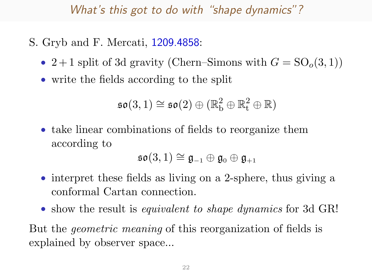### What's this got to do with "shape dynamics"?

- S. Gryb and F. Mercati, [1209.4858](http://arxiv.org/abs/1209.4858/):
	- 2+1 split of 3d gravity (Chern–Simons with  $G = SO<sub>o</sub>(3, 1)$ )
	- write the fields according to the split

$$
\mathfrak{so}(3,1) \cong \mathfrak{so}(2) \oplus (\mathbb{R}^2_b \oplus \mathbb{R}^2_t \oplus \mathbb{R})
$$

• take linear combinations of fields to reorganize them according to

$$
\mathfrak{so}(3,1)\cong \mathfrak{g}_{-1}\oplus \mathfrak{g}_0\oplus \mathfrak{g}_{+1}
$$

- interpret these fields as living on a 2-sphere, thus giving a conformal Cartan connection.
- show the result is *equivalent to shape dynamics* for 3d GR!

But the geometric meaning of this reorganization of fields is explained by observer space...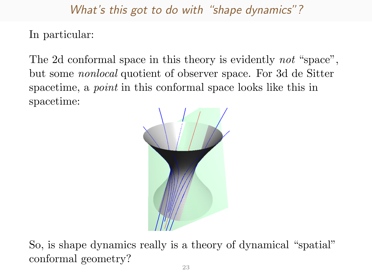What's this got to do with "shape dynamics"?

In particular:

The 2d conformal space in this theory is evidently *not* "space", but some nonlocal quotient of observer space. For 3d de Sitter spacetime, a *point* in this conformal space looks like this in spacetime:



So, is shape dynamics really is a theory of dynamical "spatial" conformal geometry?